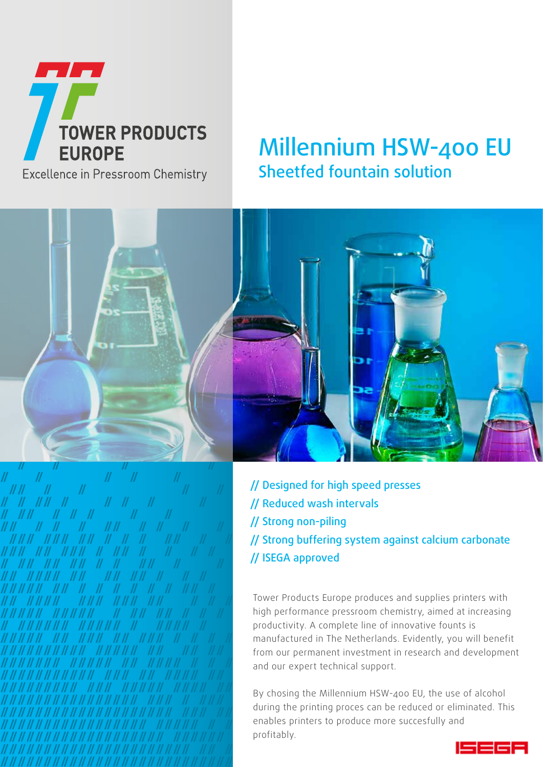

### Excellence in Pressroom Chemistry

## Millennium HSW-400 EU Sheetfed fountain solution



// Designed for high speed presses // Reduced wash intervals // Strong non-piling // Strong buffering system against calcium carbonate // ISEGA approved

Tower Products Europe produces and supplies printers with high performance pressroom chemistry, aimed at increasing productivity. A complete line of innovative founts is manufactured in The Netherlands. Evidently, you will benefit from our permanent investment in research and development and our expert technical support.

By chosing the Millennium HSW-400 EU, the use of alcohol during the printing proces can be reduced or eliminated. This enables printers to produce more succesfully and profitably.